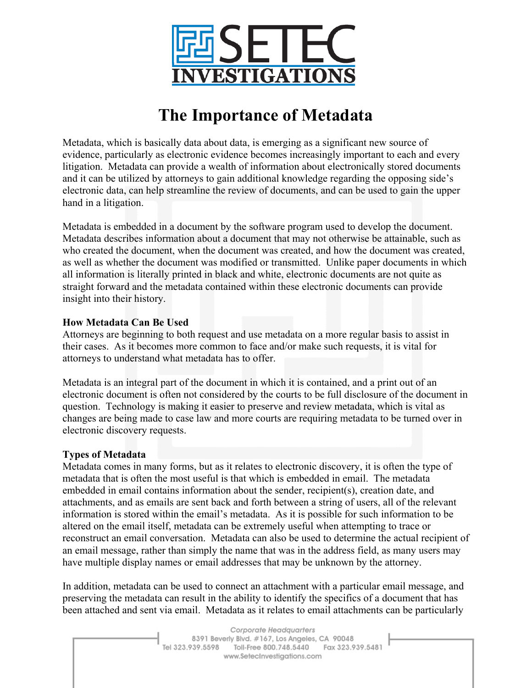

# **The Importance of Metadata**

Metadata, which is basically data about data, is emerging as a significant new source of evidence, particularly as electronic evidence becomes increasingly important to each and every litigation. Metadata can provide a wealth of information about electronically stored documents and it can be utilized by attorneys to gain additional knowledge regarding the opposing side's electronic data, can help streamline the review of documents, and can be used to gain the upper hand in a litigation.

Metadata is embedded in a document by the software program used to develop the document. Metadata describes information about a document that may not otherwise be attainable, such as who created the document, when the document was created, and how the document was created, as well as whether the document was modified or transmitted. Unlike paper documents in which all information is literally printed in black and white, electronic documents are not quite as straight forward and the metadata contained within these electronic documents can provide insight into their history.

## **How Metadata Can Be Used**

Attorneys are beginning to both request and use metadata on a more regular basis to assist in their cases. As it becomes more common to face and/or make such requests, it is vital for attorneys to understand what metadata has to offer.

Metadata is an integral part of the document in which it is contained, and a print out of an electronic document is often not considered by the courts to be full disclosure of the document in question. Technology is making it easier to preserve and review metadata, which is vital as changes are being made to case law and more courts are requiring metadata to be turned over in electronic discovery requests.

### **Types of Metadata**

Metadata comes in many forms, but as it relates to electronic discovery, it is often the type of metadata that is often the most useful is that which is embedded in email. The metadata embedded in email contains information about the sender, recipient(s), creation date, and attachments, and as emails are sent back and forth between a string of users, all of the relevant information is stored within the email's metadata. As it is possible for such information to be altered on the email itself, metadata can be extremely useful when attempting to trace or reconstruct an email conversation. Metadata can also be used to determine the actual recipient of an email message, rather than simply the name that was in the address field, as many users may have multiple display names or email addresses that may be unknown by the attorney.

In addition, metadata can be used to connect an attachment with a particular email message, and preserving the metadata can result in the ability to identify the specifics of a document that has been attached and sent via email. Metadata as it relates to email attachments can be particularly

> Corporate Headquarters 8391 Beverly Blvd. #167, Los Angeles, CA 90048 Tel 323.939.5598 Toll-Free 800.748.5440 Fax 323.939.5481 www.SetecInvestigations.com